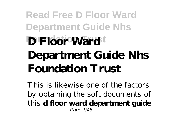## **Read Free D Floor Ward Department Guide Nhs D Floor Ward**<sup>t</sup> **Department Guide Nhs Foundation Trust**

This is likewise one of the factors by obtaining the soft documents of this **d floor ward department guide** Page 1/45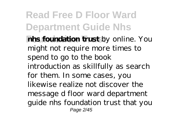**Read Free D Floor Ward Department Guide Nhs hhs foundation trust** by online. You might not require more times to spend to go to the book introduction as skillfully as search for them. In some cases, you likewise realize not discover the message d floor ward department guide nhs foundation trust that you Page 2/45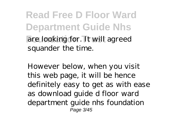**Read Free D Floor Ward Department Guide Nhs Foundation Trust** are looking for. It will agreed squander the time.

However below, when you visit this web page, it will be hence definitely easy to get as with ease as download guide d floor ward department guide nhs foundation Page 3/45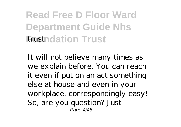**Read Free D Floor Ward Department Guide Nhs Frostndation Trust** 

It will not believe many times as we explain before. You can reach it even if put on an act something else at house and even in your workplace. correspondingly easy! So, are you question? Just Page 4/45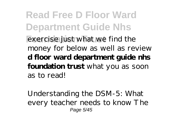**Read Free D Floor Ward Department Guide Nhs Exercise** just what we find the money for below as well as review **d floor ward department guide nhs foundation trust** what you as soon as to read!

Understanding the DSM-5: What every teacher needs to know The Page 5/45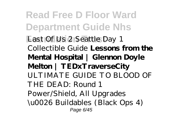**Read Free D Floor Ward Department Guide Nhs Last Of Us 2 Seattle Day 1** Collectible Guide **Lessons from the Mental Hospital | Glennon Doyle Melton | TEDxTraverseCity** *ULTIMATE GUIDE TO BLOOD OF THE DEAD: Round 1 Power/Shield, All Upgrades \u0026 Buildables (Black Ops 4)* Page 6/45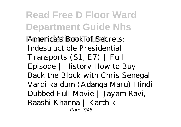**Read Free D Floor Ward Department Guide Nhs America's Book of Secrets:** Indestructible Presidential Transports (S1, E7) | Full Episode | History How to Buy Back the Block with Chris Senegal Vardi ka dum (Adanga Maru) Hindi Dubbed Full Movie | Jayam Ravi, Raashi Khanna | Karthik Page 7/45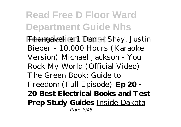**Read Free D Floor Ward Department Guide Nhs** Fhangavel *le 1 Dan + Shay, Justin Bieber - 10,000 Hours (Karaoke Version)* Michael Jackson - You Rock My World (Official Video) The Green Book: Guide to Freedom (Full Episode) **Ep 20 - 20 Best Electrical Books and Test Prep Study Guides** Inside Dakota Page 8/45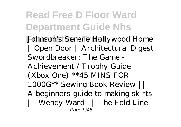**Read Free D Floor Ward Department Guide Nhs** Johnson's Serene Hollywood Home | Open Door | Architectural Digest *Swordbreaker: The Game - Achievement / Trophy Guide (Xbox One) \*\*45 MINS FOR 1000G\*\* Sewing Book Review || A beginners guide to making skirts || Wendy Ward || The Fold Line* Page 9/45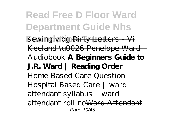**Read Free D Floor Ward Department Guide Nhs Foundation Trust** *sewing vlog* Dirty Letters - Vi Keeland \u0026 Penelope Ward | Audiobook **A Beginners Guide to J.R. Ward | Reading Order** Home Based Care Question ! Hospital Based Care | ward attendant syllabus | ward attendant roll noWard Attendant Page 10/45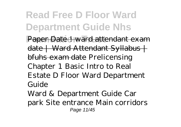**Read Free D Floor Ward Department Guide Nhs Paper Date ! ward attendant exam** date | Ward Attendant Syllabus | bfuhs exam date *Prelicensing Chapter 1 Basic Intro to Real Estate D Floor Ward Department Guide* Ward & Department Guide Car

park Site entrance Main corridors Page 11/45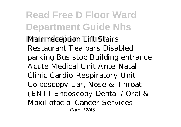**Read Free D Floor Ward Department Guide Nhs Main reception Lift Stairs** Restaurant Tea bars Disabled parking Bus stop Building entrance Acute Medical Unit Ante-Natal Clinic Cardio-Respiratory Unit Colposcopy Ear, Nose & Throat (ENT) Endoscopy Dental / Oral & Maxillofacial Cancer Services Page 12/45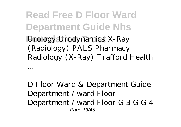**Read Free D Floor Ward Department Guide Nhs Foundation Trust** Urology Urodynamics X-Ray (Radiology) PALS Pharmacy Radiology (X-Ray) Trafford Health

*D Floor Ward & Department Guide* Department / ward Floor Department / ward Floor G 3 G G 4 Page 13/45

...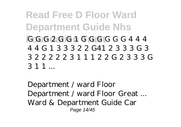**Read Free D Floor Ward Department Guide Nhs Foundation Trust** G G G 2 G G 1 G G G G G G 4 4 4 4 4 G 1 3 3 3 2 2 G41 2 3 3 3 G 3 3 2 2 2 2 2 3 1 1 1 2 2 G 2 3 3 3 G  $311$ 

*Department / ward Floor Department / ward Floor Great ...* Ward & Department Guide Car Page 14/45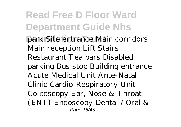**Read Free D Floor Ward Department Guide Nhs** park Site entrance Main corridors Main reception Lift Stairs Restaurant Tea bars Disabled parking Bus stop Building entrance Acute Medical Unit Ante-Natal Clinic Cardio-Respiratory Unit Colposcopy Ear, Nose & Throat (ENT) Endoscopy Dental / Oral & Page 15/45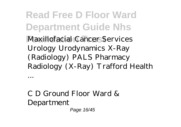**Read Free D Floor Ward Department Guide Nhs Foundation Trust** Maxillofacial Cancer Services Urology Urodynamics X-Ray (Radiology) PALS Pharmacy Radiology (X-Ray) Trafford Health

*C D Ground Floor Ward & Department* Page 16/45

...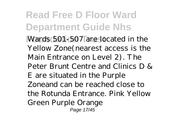**Read Free D Floor Ward Department Guide Nhs Foundation Trust** Wards 501-507 are located in the Yellow Zone(nearest access is the Main Entrance on Level 2). The Peter Brunt Centre and Clinics D & E are situated in the Purple Zoneand can be reached close to the Rotunda Entrance. Pink Yellow Green Purple Orange Page 17/45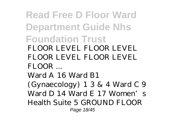**Read Free D Floor Ward Department Guide Nhs Foundation Trust** *FLOOR LEVEL FLOOR LEVEL FLOOR LEVEL FLOOR LEVEL FLOOR ...* Ward A 16 Ward B1 (Gynaecology) 1 3 & 4 Ward C 9 Ward D 14 Ward E 17 Women's Health Suite 5 GROUND FLOOR Page 18/45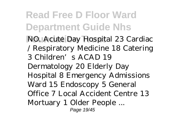**Read Free D Floor Ward Department Guide Nhs NO. Acute Day Hospital 23 Cardiac** / Respiratory Medicine 18 Catering 3 Children's ACAD 19 Dermatology 20 Elderly Day Hospital 8 Emergency Admissions Ward 15 Endoscopy 5 General Office 7 Local Accident Centre 13 Mortuary 1 Older People ... Page 19/45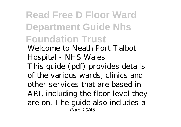**Read Free D Floor Ward Department Guide Nhs Foundation Trust** *Welcome to Neath Port Talbot Hospital - NHS Wales* This guide (pdf) provides details of the various wards, clinics and other services that are based in ARI, including the floor level they are on. The guide also includes a Page 20/45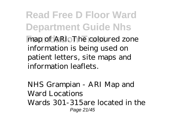**Read Free D Floor Ward Department Guide Nhs** map of ARI. The coloured zone information is being used on patient letters, site maps and information leaflets.

*NHS Grampian - ARI Map and Ward Locations* Wards 301-315are located in the Page 21/45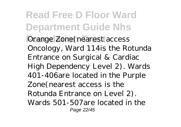**Read Free D Floor Ward Department Guide Nhs Orange Zone(nearest access** Oncology, Ward 114is the Rotunda Entrance on Surgical & Cardiac High Dependency Level 2). Wards 401-406are located in the Purple Zone(nearest access is the Rotunda Entrance on Level 2). Wards 501-507are located in the Page 22/45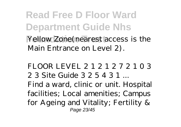**Read Free D Floor Ward Department Guide Nhs Foundation Trust** Yellow Zone(nearest access is the Main Entrance on Level 2).

*FLOOR LEVEL 2 1 2 1 2 7 2 1 0 3 2 3 Site Guide 3 2 5 4 3 1 ...* Find a ward, clinic or unit. Hospital facilities; Local amenities; Campus for Ageing and Vitality; Fertility & Page 23/45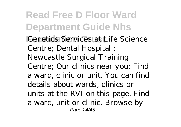**Read Free D Floor Ward Department Guide Nhs Genetics Services at Life Science** Centre; Dental Hospital ; Newcastle Surgical Training Centre; Our clinics near you; Find a ward, clinic or unit. You can find details about wards, clinics or units at the RVI on this page. Find a ward, unit or clinic. Browse by Page 24/45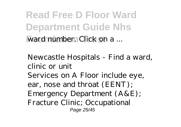**Read Free D Floor Ward Department Guide Nhs Foundation Franchiser.** Click on a ...

*Newcastle Hospitals - Find a ward, clinic or unit* Services on A Floor include eye, ear, nose and throat (EENT); Emergency Department (A&E); Fracture Clinic; Occupational Page 25/45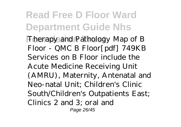**Read Free D Floor Ward Department Guide Nhs Finally** Therapy and Pathology Map of B Floor - QMC B Floor[pdf] 749KB Services on B Floor include the Acute Medicine Receiving Unit (AMRU), Maternity, Antenatal and Neo-natal Unit; Children's Clinic South/Children's Outpatients East; Clinics 2 and 3; oral and Page 26/45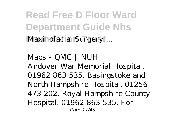**Read Free D Floor Ward Department Guide Nhs Maxillofacial Surgery ...** 

*Maps - QMC | NUH* Andover War Memorial Hospital. 01962 863 535. Basingstoke and North Hampshire Hospital. 01256 473 202. Royal Hampshire County Hospital. 01962 863 535. For Page 27/45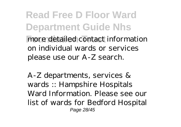**Read Free D Floor Ward Department Guide Nhs Foundation Trust** more detailed contact information on individual wards or services please use our A-Z search.

*A-Z departments, services & wards :: Hampshire Hospitals* Ward Information. Please see our list of wards for Bedford Hospital Page 28/45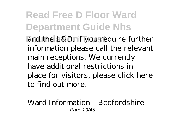**Read Free D Floor Ward Department Guide Nhs** and the L&D, if you require further information please call the relevant main receptions. We currently have additional restrictions in place for visitors, please click here to find out more.

*Ward Information - Bedfordshire* Page 29/45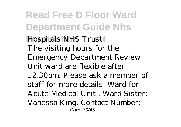**Read Free D Floor Ward Department Guide Nhs Hospitals NHS Trust** The visiting hours for the Emergency Department Review Unit ward are flexible after 12.30pm. Please ask a member of staff for more details. Ward for Acute Medical Unit . Ward Sister: Vanessa King. Contact Number: Page 30/45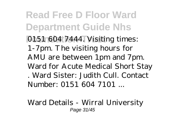**Read Free D Floor Ward Department Guide Nhs** 0151 604 7444. Visiting times: 1-7pm. The visiting hours for AMU are between 1pm and 7pm. Ward for Acute Medical Short Stay . Ward Sister: Judith Cull. Contact Number: 0151 604 7101 ...

*Ward Details - Wirral University* Page 31/45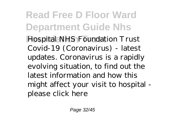**Read Free D Floor Ward Department Guide Nhs Foundation Trust** *Hospital NHS Foundation Trust* Covid-19 (Coronavirus) - latest updates. Coronavirus is a rapidly evolving situation, to find out the latest information and how this might affect your visit to hospital please click here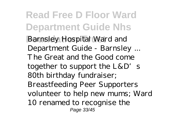**Read Free D Floor Ward Department Guide Nhs** *Barnsley Hospital Ward and Department Guide - Barnsley ...* The Great and the Good come together to support the  $L&D'$  s 80th birthday fundraiser; Breastfeeding Peer Supporters volunteer to help new mums; Ward 10 renamed to recognise the Page 33/45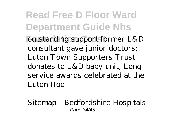**Read Free D Floor Ward Department Guide Nhs Foutstanding support former L&D** consultant gave junior doctors; Luton Town Supporters Trust donates to L&D baby unit; Long service awards celebrated at the Luton Hoo

*Sitemap - Bedfordshire Hospitals* Page 34/45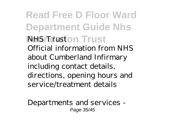**Read Free D Floor Ward Department Guide Nhs Foundation Trust** *NHS Trust* Official information from NHS about Cumberland Infirmary including contact details, directions, opening hours and service/treatment details

*Departments and services -* Page 35/45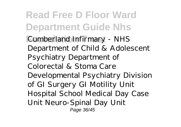**Read Free D Floor Ward Department Guide Nhs Foundation Trust** *Cumberland Infirmary - NHS* Department of Child & Adolescent Psychiatry Department of Colorectal & Stoma Care Developmental Psychiatry Division of GI Surgery GI Motility Unit Hospital School Medical Day Case Unit Neuro-Spinal Day Unit Page 36/45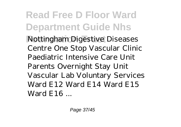**Read Free D Floor Ward Department Guide Nhs Nottingham Digestive Diseases** Centre One Stop Vascular Clinic Paediatric Intensive Care Unit Parents Overnight Stay Unit Vascular Lab Voluntary Services Ward E12 Ward E14 Ward E15 Ward E16 ...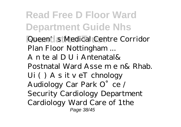**Read Free D Floor Ward Department Guide Nhs Foundation Trust** *Queen's Medical Centre Corridor Plan Floor Nottingham ...* A n te al D U i Antenatal& Postnatal Ward Asse m e n& Rhab. Ui ( ) A s it v eT chnology Audiology Car Park O°ce / Security Cardiology Department Cardiology Ward Care of 1the Page 38/45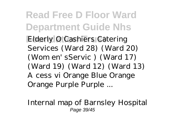**Read Free D Floor Ward Department Guide Nhs Elderly O Cashiers Catering** Services (Ward 28) (Ward 20) (Wom en' sServic ) (Ward 17) (Ward 19) (Ward 12) (Ward 13) A cess vi Orange Blue Orange Orange Purple Purple ...

*Internal map of Barnsley Hospital* Page 39/45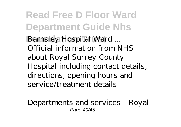**Read Free D Floor Ward Department Guide Nhs Barnsley Hospital Ward ...** Official information from NHS about Royal Surrey County Hospital including contact details, directions, opening hours and service/treatment details

*Departments and services - Royal* Page 40/45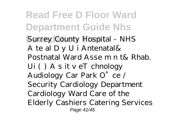**Read Free D Floor Ward Department Guide Nhs**  $Surrey$  *County Hospital - NHS* A te al D y U i Antenatal& Postnatal Ward Asse m n t& Rhab. Ui ( ) A s it v eT chnology Audiology Car Park O°ce / Security Cardiology Department Cardiology Ward Care of the Elderly Cashiers Catering Services Page 41/45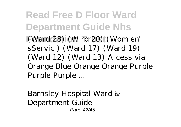**Read Free D Floor Ward Department Guide Nhs Foundation Trust** (Ward 28) (W rd 20) (Wom en' sServic ) (Ward 17) (Ward 19) (Ward 12) (Ward 13) A cess via Orange Blue Orange Orange Purple Purple Purple ...

*Barnsley Hospital Ward & Department Guide* Page 42/45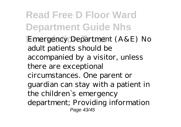**Read Free D Floor Ward Department Guide Nhs Emergency Department (A&E) No** adult patients should be accompanied by a visitor, unless there are exceptional circumstances. One parent or guardian can stay with a patient in the children`s emergency department; Providing information Page 43/45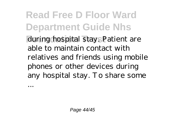**Read Free D Floor Ward Department Guide Nhs** during hospital stay. Patient are able to maintain contact with relatives and friends using mobile phones or other devices during any hospital stay. To share some

...